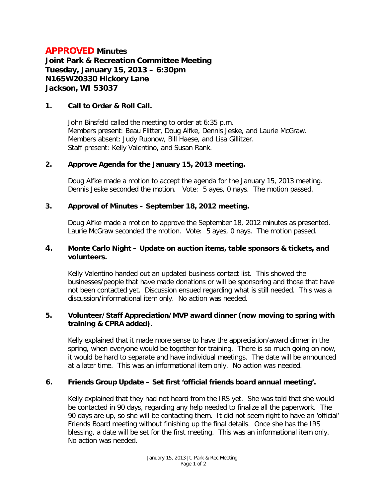# **APPROVED Minutes**

**Joint Park & Recreation Committee Meeting Tuesday, January 15, 2013 – 6:30pm N165W20330 Hickory Lane Jackson, WI 53037**

### **1. Call to Order & Roll Call.**

John Binsfeld called the meeting to order at 6:35 p.m. Members present: Beau Flitter, Doug Alfke, Dennis Jeske, and Laurie McGraw. Members absent: Judy Rupnow, Bill Haese, and Lisa Gillitzer. Staff present: Kelly Valentino, and Susan Rank.

# **2. Approve Agenda for the January 15, 2013 meeting.**

Doug Alfke made a motion to accept the agenda for the January 15, 2013 meeting. Dennis Jeske seconded the motion. Vote: 5 ayes, 0 nays. The motion passed.

# **3. Approval of Minutes – September 18, 2012 meeting.**

Doug Alfke made a motion to approve the September 18, 2012 minutes as presented. Laurie McGraw seconded the motion. Vote: 5 ayes, 0 nays. The motion passed.

### **4. Monte Carlo Night – Update on auction items, table sponsors & tickets, and volunteers.**

Kelly Valentino handed out an updated business contact list. This showed the businesses/people that have made donations or will be sponsoring and those that have not been contacted yet. Discussion ensued regarding what is still needed. This was a discussion/informational item only. No action was needed.

### **5. Volunteer/Staff Appreciation/MVP award dinner (now moving to spring with training & CPRA added).**

Kelly explained that it made more sense to have the appreciation/award dinner in the spring, when everyone would be together for training. There is so much going on now, it would be hard to separate and have individual meetings. The date will be announced at a later time. This was an informational item only. No action was needed.

# **6. Friends Group Update – Set first 'official friends board annual meeting'.**

Kelly explained that they had not heard from the IRS yet. She was told that she would be contacted in 90 days, regarding any help needed to finalize all the paperwork. The 90 days are up, so she will be contacting them. It did not seem right to have an 'official' Friends Board meeting without finishing up the final details. Once she has the IRS blessing, a date will be set for the first meeting. This was an informational item only. No action was needed.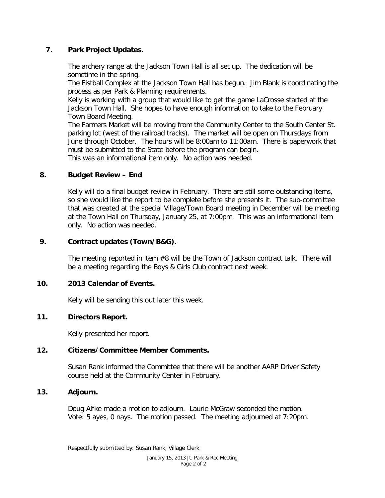# **7. Park Project Updates.**

The archery range at the Jackson Town Hall is all set up. The dedication will be sometime in the spring.

The Fistball Complex at the Jackson Town Hall has begun. Jim Blank is coordinating the process as per Park & Planning requirements.

Kelly is working with a group that would like to get the game LaCrosse started at the Jackson Town Hall. She hopes to have enough information to take to the February Town Board Meeting.

The Farmers Market will be moving from the Community Center to the South Center St. parking lot (west of the railroad tracks). The market will be open on Thursdays from June through October. The hours will be 8:00am to 11:00am. There is paperwork that must be submitted to the State before the program can begin.

This was an informational item only. No action was needed.

# **8. Budget Review – End**

Kelly will do a final budget review in February. There are still some outstanding items, so she would like the report to be complete before she presents it. The sub-committee that was created at the special Village/Town Board meeting in December will be meeting at the Town Hall on Thursday, January 25, at 7:00pm. This was an informational item only. No action was needed.

# **9. Contract updates (Town/B&G).**

The meeting reported in item #8 will be the Town of Jackson contract talk. There will be a meeting regarding the Boys & Girls Club contract next week.

# **10. 2013 Calendar of Events.**

Kelly will be sending this out later this week.

# **11. Directors Report.**

Kelly presented her report.

# **12. Citizens/Committee Member Comments.**

Susan Rank informed the Committee that there will be another AARP Driver Safety course held at the Community Center in February.

# **13. Adjourn.**

Doug Alfke made a motion to adjourn. Laurie McGraw seconded the motion. Vote: 5 ayes, 0 nays. The motion passed. The meeting adjourned at 7:20pm.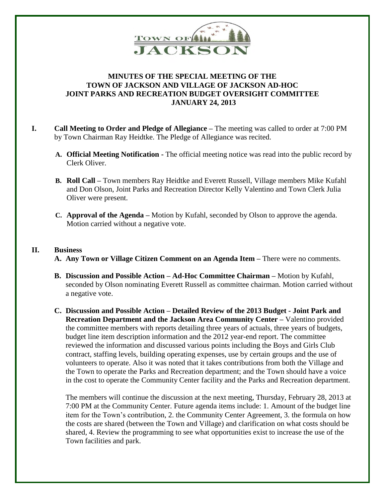

# **MINUTES OF THE SPECIAL MEETING OF THE TOWN OF JACKSON AND VILLAGE OF JACKSON AD-HOC JOINT PARKS AND RECREATION BUDGET OVERSIGHT COMMITTEE JANUARY 24, 2013**

- **I. Call Meeting to Order and Pledge of Allegiance –** The meeting was called to order at 7:00 PM by Town Chairman Ray Heidtke. The Pledge of Allegiance was recited.
	- **A. Official Meeting Notification -** The official meeting notice was read into the public record by Clerk Oliver.
	- **B. Roll Call –** Town members Ray Heidtke and Everett Russell, Village members Mike Kufahl and Don Olson, Joint Parks and Recreation Director Kelly Valentino and Town Clerk Julia Oliver were present.
	- **C. Approval of the Agenda –** Motion by Kufahl, seconded by Olson to approve the agenda. Motion carried without a negative vote.

### **II. Business**

- **A. Any Town or Village Citizen Comment on an Agenda Item –** There were no comments.
- **B. Discussion and Possible Action – Ad-Hoc Committee Chairman –** Motion by Kufahl, seconded by Olson nominating Everett Russell as committee chairman. Motion carried without a negative vote.
- **C. Discussion and Possible Action – Detailed Review of the 2013 Budget - Joint Park and Recreation Department and the Jackson Area Community Center –** Valentino provided the committee members with reports detailing three years of actuals, three years of budgets, budget line item description information and the 2012 year-end report. The committee reviewed the information and discussed various points including the Boys and Girls Club contract, staffing levels, building operating expenses, use by certain groups and the use of volunteers to operate. Also it was noted that it takes contributions from both the Village and the Town to operate the Parks and Recreation department; and the Town should have a voice in the cost to operate the Community Center facility and the Parks and Recreation department.

The members will continue the discussion at the next meeting, Thursday, February 28, 2013 at 7:00 PM at the Community Center. Future agenda items include: 1. Amount of the budget line item for the Town's contribution, 2. the Community Center Agreement, 3. the formula on how the costs are shared (between the Town and Village) and clarification on what costs should be shared, 4. Review the programming to see what opportunities exist to increase the use of the Town facilities and park.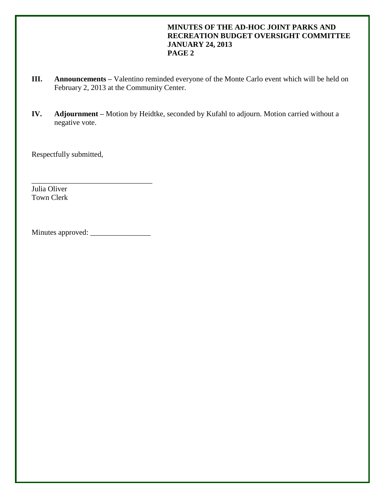# **MINUTES OF THE AD-HOC JOINT PARKS AND RECREATION BUDGET OVERSIGHT COMMITTEE JANUARY 24, 2013 PAGE 2**

- **III. Announcements –** Valentino reminded everyone of the Monte Carlo event which will be held on February 2, 2013 at the Community Center.
- **IV. Adjournment –** Motion by Heidtke, seconded by Kufahl to adjourn. Motion carried without a negative vote.

Respectfully submitted,

Julia Oliver Town Clerk

Minutes approved: \_\_\_\_\_\_\_\_\_\_\_\_\_\_\_\_

\_\_\_\_\_\_\_\_\_\_\_\_\_\_\_\_\_\_\_\_\_\_\_\_\_\_\_\_\_\_\_\_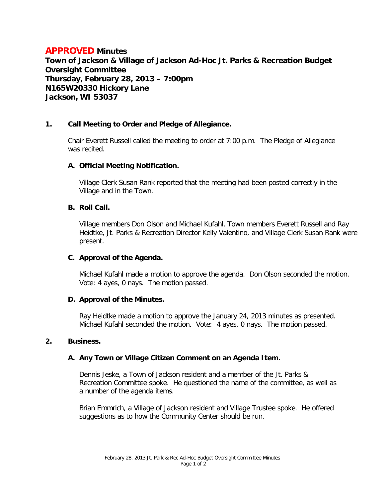# **APPROVED Minutes**

**Town of Jackson & Village of Jackson Ad-Hoc Jt. Parks & Recreation Budget Oversight Committee Thursday, February 28, 2013 – 7:00pm N165W20330 Hickory Lane Jackson, WI 53037**

### **1. Call Meeting to Order and Pledge of Allegiance.**

Chair Everett Russell called the meeting to order at 7:00 p.m. The Pledge of Allegiance was recited.

### **A. Official Meeting Notification.**

Village Clerk Susan Rank reported that the meeting had been posted correctly in the Village and in the Town.

### **B. Roll Call.**

Village members Don Olson and Michael Kufahl, Town members Everett Russell and Ray Heidtke, Jt. Parks & Recreation Director Kelly Valentino, and Village Clerk Susan Rank were present.

### **C. Approval of the Agenda.**

Michael Kufahl made a motion to approve the agenda. Don Olson seconded the motion. Vote: 4 ayes, 0 nays. The motion passed.

### **D. Approval of the Minutes.**

Ray Heidtke made a motion to approve the January 24, 2013 minutes as presented. Michael Kufahl seconded the motion. Vote: 4 ayes, 0 nays. The motion passed.

#### **2. Business.**

### **A. Any Town or Village Citizen Comment on an Agenda Item.**

Dennis Jeske, a Town of Jackson resident and a member of the Jt. Parks & Recreation Committee spoke. He questioned the name of the committee, as well as a number of the agenda items.

Brian Emmrich, a Village of Jackson resident and Village Trustee spoke. He offered suggestions as to how the Community Center should be run.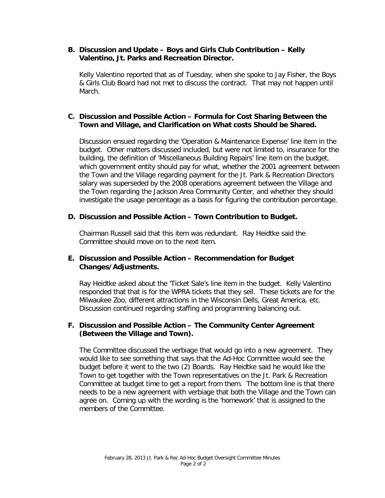### **B. Discussion and Update – Boys and Girls Club Contribution – Kelly Valentino, Jt. Parks and Recreation Director.**

Kelly Valentino reported that as of Tuesday, when she spoke to Jay Fisher, the Boys & Girls Club Board had not met to discuss the contract. That may not happen until March.

### **C. Discussion and Possible Action – Formula for Cost Sharing Between the Town and Village, and Clarification on What costs Should be Shared.**

Discussion ensued regarding the 'Operation & Maintenance Expense' line item in the budget. Other matters discussed included, but were not limited to, insurance for the building, the definition of 'Miscellaneous Building Repairs' line item on the budget, which government entity should pay for what, whether the 2001 agreement between the Town and the Village regarding payment for the Jt. Park & Recreation Directors salary was superseded by the 2008 operations agreement between the Village and the Town regarding the Jackson Area Community Center, and whether they should investigate the usage percentage as a basis for figuring the contribution percentage.

### **D. Discussion and Possible Action – Town Contribution to Budget.**

Chairman Russell said that this item was redundant. Ray Heidtke said the Committee should move on to the next item.

### **E. Discussion and Possible Action – Recommendation for Budget Changes/Adjustments.**

Ray Heidtke asked about the 'Ticket Sale's line item in the budget. Kelly Valentino responded that that is for the WPRA tickets that they sell. These tickets are for the Milwaukee Zoo, different attractions in the Wisconsin Dells, Great America, etc. Discussion continued regarding staffing and programming balancing out.

### **F. Discussion and Possible Action – The Community Center Agreement (Between the Village and Town).**

The Committee discussed the verbiage that would go into a new agreement. They would like to see something that says that the Ad-Hoc Committee would see the budget before it went to the two (2) Boards. Ray Heidtke said he would like the Town to get together with the Town representatives on the Jt. Park & Recreation Committee at budget time to get a report from them. The bottom line is that there needs to be a new agreement with verbiage that both the Village and the Town can agree on. Coming up with the wording is the 'homework' that is assigned to the members of the Committee.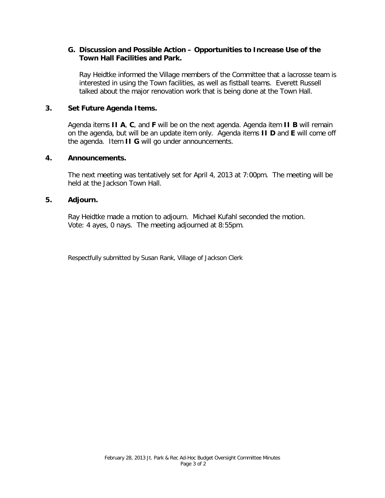### **G. Discussion and Possible Action – Opportunities to Increase Use of the Town Hall Facilities and Park.**

Ray Heidtke informed the Village members of the Committee that a lacrosse team is interested in using the Town facilities, as well as fistball teams. Everett Russell talked about the major renovation work that is being done at the Town Hall.

### **3. Set Future Agenda Items.**

Agenda items **II A**, **C**, and **F** will be on the next agenda. Agenda item **II B** will remain on the agenda, but will be an update item only. Agenda items **II D** and **E** will come off the agenda. Item **II G** will go under announcements.

#### **4. Announcements.**

The next meeting was tentatively set for April 4, 2013 at 7:00pm. The meeting will be held at the Jackson Town Hall.

### **5. Adjourn.**

Ray Heidtke made a motion to adjourn. Michael Kufahl seconded the motion. Vote: 4 ayes, 0 nays. The meeting adjourned at 8:55pm.

Respectfully submitted by Susan Rank, Village of Jackson Clerk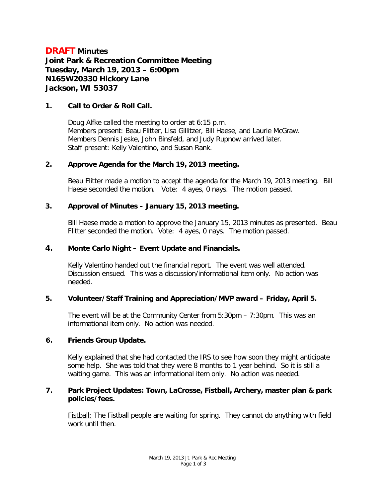# **DRAFT Minutes Joint Park & Recreation Committee Meeting Tuesday, March 19, 2013 – 6:00pm N165W20330 Hickory Lane Jackson, WI 53037**

### **1. Call to Order & Roll Call.**

Doug Alfke called the meeting to order at 6:15 p.m. Members present: Beau Flitter, Lisa Gillitzer, Bill Haese, and Laurie McGraw. Members Dennis Jeske, John Binsfeld, and Judy Rupnow arrived later. Staff present: Kelly Valentino, and Susan Rank.

### **2. Approve Agenda for the March 19, 2013 meeting.**

Beau Flitter made a motion to accept the agenda for the March 19, 2013 meeting. Bill Haese seconded the motion. Vote: 4 ayes, 0 nays. The motion passed.

### **3. Approval of Minutes – January 15, 2013 meeting.**

Bill Haese made a motion to approve the January 15, 2013 minutes as presented. Beau Flitter seconded the motion. Vote: 4 ayes, 0 nays. The motion passed.

### **4. Monte Carlo Night – Event Update and Financials.**

Kelly Valentino handed out the financial report. The event was well attended. Discussion ensued. This was a discussion/informational item only. No action was needed.

# **5. Volunteer/Staff Training and Appreciation/MVP award – Friday, April 5.**

The event will be at the Community Center from 5:30pm – 7:30pm. This was an informational item only. No action was needed.

#### **6. Friends Group Update.**

Kelly explained that she had contacted the IRS to see how soon they might anticipate some help. She was told that they were 8 months to 1 year behind. So it is still a waiting game. This was an informational item only. No action was needed.

### **7. Park Project Updates: Town, LaCrosse, Fistball, Archery, master plan & park policies/fees.**

Fistball: The Fistball people are waiting for spring. They cannot do anything with field work until then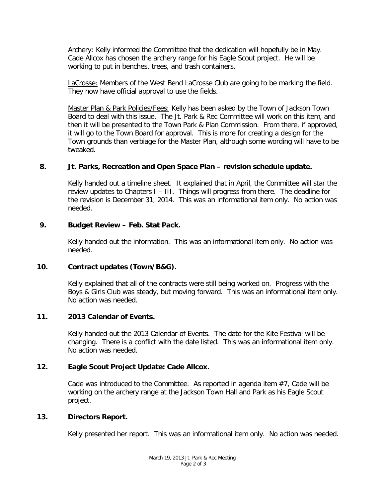Archery: Kelly informed the Committee that the dedication will hopefully be in May. Cade Allcox has chosen the archery range for his Eagle Scout project. He will be working to put in benches, trees, and trash containers.

LaCrosse: Members of the West Bend LaCrosse Club are going to be marking the field. They now have official approval to use the fields.

Master Plan & Park Policies/Fees: Kelly has been asked by the Town of Jackson Town Board to deal with this issue. The Jt. Park & Rec Committee will work on this item, and then it will be presented to the Town Park & Plan Commission. From there, if approved, it will go to the Town Board for approval. This is more for creating a design for the Town grounds than verbiage for the Master Plan, although some wording will have to be tweaked.

# **8. Jt. Parks, Recreation and Open Space Plan – revision schedule update.**

Kelly handed out a timeline sheet. It explained that in April, the Committee will star the review updates to Chapters I – III. Things will progress from there. The deadline for the revision is December 31, 2014. This was an informational item only. No action was needed.

# **9. Budget Review – Feb. Stat Pack.**

Kelly handed out the information. This was an informational item only. No action was needed.

### **10. Contract updates (Town/B&G).**

Kelly explained that all of the contracts were still being worked on. Progress with the Boys & Girls Club was steady, but moving forward. This was an informational item only. No action was needed.

# **11. 2013 Calendar of Events.**

Kelly handed out the 2013 Calendar of Events. The date for the Kite Festival will be changing. There is a conflict with the date listed. This was an informational item only. No action was needed.

# **12. Eagle Scout Project Update: Cade Allcox.**

Cade was introduced to the Committee. As reported in agenda item #7, Cade will be working on the archery range at the Jackson Town Hall and Park as his Eagle Scout project.

### **13. Directors Report.**

Kelly presented her report. This was an informational item only. No action was needed.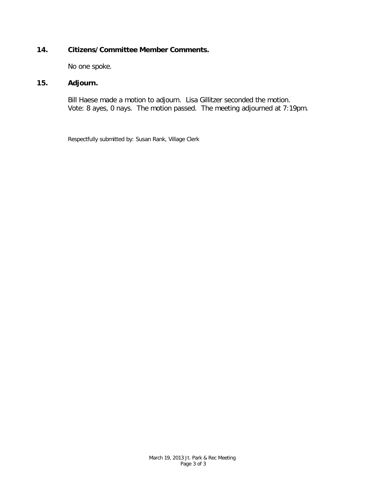# **14. Citizens/Committee Member Comments.**

No one spoke.

# **15. Adjourn.**

Bill Haese made a motion to adjourn. Lisa Gillitzer seconded the motion. Vote: 8 ayes, 0 nays. The motion passed. The meeting adjourned at 7:19pm.

Respectfully submitted by: Susan Rank, Village Clerk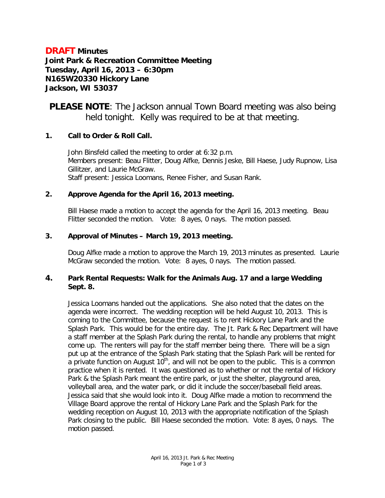# **DRAFT Minutes Joint Park & Recreation Committee Meeting Tuesday, April 16, 2013 – 6:30pm N165W20330 Hickory Lane Jackson, WI 53037**

**PLEASE NOTE**: The Jackson annual Town Board meeting was also being held tonight. Kelly was required to be at that meeting.

# **1. Call to Order & Roll Call.**

John Binsfeld called the meeting to order at 6:32 p.m. Members present: Beau Flitter, Doug Alfke, Dennis Jeske, Bill Haese, Judy Rupnow, Lisa Gillitzer, and Laurie McGraw. Staff present: Jessica Loomans, Renee Fisher, and Susan Rank.

# **2. Approve Agenda for the April 16, 2013 meeting.**

Bill Haese made a motion to accept the agenda for the April 16, 2013 meeting. Beau Flitter seconded the motion. Vote: 8 ayes, 0 nays. The motion passed.

# **3. Approval of Minutes – March 19, 2013 meeting.**

Doug Alfke made a motion to approve the March 19, 2013 minutes as presented. Laurie McGraw seconded the motion. Vote: 8 ayes, 0 nays. The motion passed.

# **4. Park Rental Requests: Walk for the Animals Aug. 17 and a large Wedding Sept. 8.**

Jessica Loomans handed out the applications. She also noted that the dates on the agenda were incorrect. The wedding reception will be held August 10, 2013. This is coming to the Committee, because the request is to rent Hickory Lane Park and the Splash Park. This would be for the entire day. The Jt. Park & Rec Department will have a staff member at the Splash Park during the rental, to handle any problems that might come up. The renters will pay for the staff member being there. There will be a sign put up at the entrance of the Splash Park stating that the Splash Park will be rented for a private function on August  $10<sup>th</sup>$ , and will not be open to the public. This is a common practice when it is rented. It was questioned as to whether or not the rental of Hickory Park & the Splash Park meant the entire park, or just the shelter, playground area, volleyball area, and the water park, or did it include the soccer/baseball field areas. Jessica said that she would look into it. Doug Alfke made a motion to recommend the Village Board approve the rental of Hickory Lane Park and the Splash Park for the wedding reception on August 10, 2013 with the appropriate notification of the Splash Park closing to the public. Bill Haese seconded the motion. Vote: 8 ayes, 0 nays. The motion passed.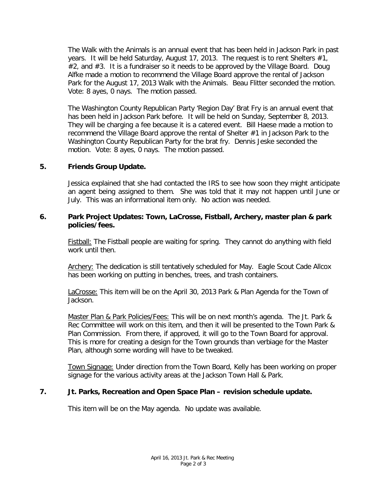The Walk with the Animals is an annual event that has been held in Jackson Park in past years. It will be held Saturday, August 17, 2013. The request is to rent Shelters #1,  $#2$ , and  $#3$ . It is a fundraiser so it needs to be approved by the Village Board. Doug Alfke made a motion to recommend the Village Board approve the rental of Jackson Park for the August 17, 2013 Walk with the Animals. Beau Flitter seconded the motion. Vote: 8 ayes, 0 nays. The motion passed.

The Washington County Republican Party 'Region Day' Brat Fry is an annual event that has been held in Jackson Park before. It will be held on Sunday, September 8, 2013. They will be charging a fee because it is a catered event. Bill Haese made a motion to recommend the Village Board approve the rental of Shelter #1 in Jackson Park to the Washington County Republican Party for the brat fry. Dennis Jeske seconded the motion. Vote: 8 ayes, 0 nays. The motion passed.

# **5. Friends Group Update.**

Jessica explained that she had contacted the IRS to see how soon they might anticipate an agent being assigned to them. She was told that it may not happen until June or July. This was an informational item only. No action was needed.

### **6. Park Project Updates: Town, LaCrosse, Fistball, Archery, master plan & park policies/fees.**

Fistball: The Fistball people are waiting for spring. They cannot do anything with field work until then.

Archery: The dedication is still tentatively scheduled for May. Eagle Scout Cade Allcox has been working on putting in benches, trees, and trash containers.

LaCrosse: This item will be on the April 30, 2013 Park & Plan Agenda for the Town of Jackson.

Master Plan & Park Policies/Fees: This will be on next month's agenda. The Jt. Park & Rec Committee will work on this item, and then it will be presented to the Town Park & Plan Commission. From there, if approved, it will go to the Town Board for approval. This is more for creating a design for the Town grounds than verbiage for the Master Plan, although some wording will have to be tweaked.

Town Signage: Under direction from the Town Board, Kelly has been working on proper signage for the various activity areas at the Jackson Town Hall & Park.

### **7. Jt. Parks, Recreation and Open Space Plan – revision schedule update.**

This item will be on the May agenda. No update was available.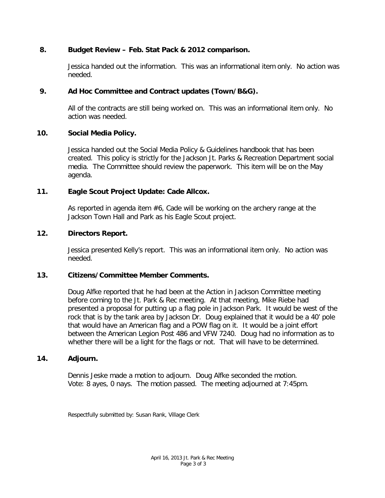# **8. Budget Review – Feb. Stat Pack & 2012 comparison.**

Jessica handed out the information. This was an informational item only. No action was needed.

# **9. Ad Hoc Committee and Contract updates (Town/B&G).**

All of the contracts are still being worked on. This was an informational item only. No action was needed.

# **10. Social Media Policy.**

Jessica handed out the Social Media Policy & Guidelines handbook that has been created. This policy is strictly for the Jackson Jt. Parks & Recreation Department social media. The Committee should review the paperwork. This item will be on the May agenda.

# **11. Eagle Scout Project Update: Cade Allcox.**

As reported in agenda item #6, Cade will be working on the archery range at the Jackson Town Hall and Park as his Eagle Scout project.

### **12. Directors Report.**

Jessica presented Kelly's report. This was an informational item only. No action was needed.

### **13. Citizens/Committee Member Comments.**

Doug Alfke reported that he had been at the Action in Jackson Committee meeting before coming to the Jt. Park & Rec meeting. At that meeting, Mike Riebe had presented a proposal for putting up a flag pole in Jackson Park. It would be west of the rock that is by the tank area by Jackson Dr. Doug explained that it would be a 40' pole that would have an American flag and a POW flag on it. It would be a joint effort between the American Legion Post 486 and VFW 7240. Doug had no information as to whether there will be a light for the flags or not. That will have to be determined.

### **14. Adjourn.**

Dennis Jeske made a motion to adjourn. Doug Alfke seconded the motion. Vote: 8 ayes, 0 nays. The motion passed. The meeting adjourned at 7:45pm.

Respectfully submitted by: Susan Rank, Village Clerk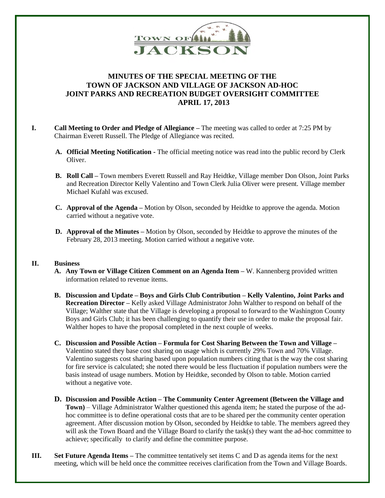

# **MINUTES OF THE SPECIAL MEETING OF THE TOWN OF JACKSON AND VILLAGE OF JACKSON AD-HOC JOINT PARKS AND RECREATION BUDGET OVERSIGHT COMMITTEE APRIL 17, 2013**

- **I. Call Meeting to Order and Pledge of Allegiance –** The meeting was called to order at 7:25 PM by Chairman Everett Russell. The Pledge of Allegiance was recited.
	- **A. Official Meeting Notification -** The official meeting notice was read into the public record by Clerk Oliver.
	- **B. Roll Call –** Town members Everett Russell and Ray Heidtke, Village member Don Olson, Joint Parks and Recreation Director Kelly Valentino and Town Clerk Julia Oliver were present. Village member Michael Kufahl was excused.
	- **C. Approval of the Agenda –** Motion by Olson, seconded by Heidtke to approve the agenda. Motion carried without a negative vote.
	- **D. Approval of the Minutes –** Motion by Olson, seconded by Heidtke to approve the minutes of the February 28, 2013 meeting. Motion carried without a negative vote.

#### **II. Business**

- **A. Any Town or Village Citizen Comment on an Agenda Item –** W. Kannenberg provided written information related to revenue items.
- **B. Discussion and Update – Boys and Girls Club Contribution – Kelly Valentino, Joint Parks and Recreation Director –** Kelly asked Village Administrator John Walther to respond on behalf of the Village; Walther state that the Village is developing a proposal to forward to the Washington County Boys and Girls Club; it has been challenging to quantify their use in order to make the proposal fair. Walther hopes to have the proposal completed in the next couple of weeks.
- **C. Discussion and Possible Action – Formula for Cost Sharing Between the Town and Village –** Valentino stated they base cost sharing on usage which is currently 29% Town and 70% Village. Valentino suggests cost sharing based upon population numbers citing that is the way the cost sharing for fire service is calculated; she noted there would be less fluctuation if population numbers were the basis instead of usage numbers. Motion by Heidtke, seconded by Olson to table. Motion carried without a negative vote.
- **D. Discussion and Possible Action – The Community Center Agreement (Between the Village and Town)** – Village Administrator Walther questioned this agenda item; he stated the purpose of the adhoc committee is to define operational costs that are to be shared per the community center operation agreement. After discussion motion by Olson, seconded by Heidtke to table. The members agreed they will ask the Town Board and the Village Board to clarify the task(s) they want the ad-hoc committee to achieve; specifically to clarify and define the committee purpose.
- **III. Set Future Agenda Items –** The committee tentatively set items C and D as agenda items for the next meeting, which will be held once the committee receives clarification from the Town and Village Boards.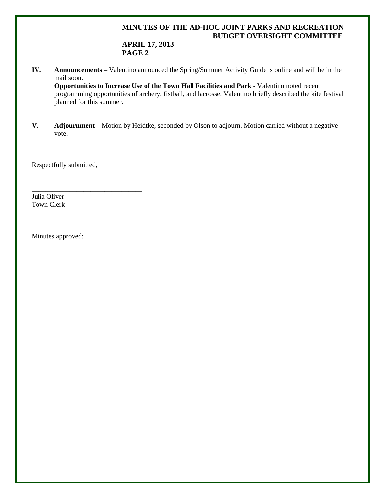# **MINUTES OF THE AD-HOC JOINT PARKS AND RECREATION BUDGET OVERSIGHT COMMITTEE**

# **APRIL 17, 2013 PAGE 2**

**IV. Announcements –** Valentino announced the Spring/Summer Activity Guide is online and will be in the mail soon.

**Opportunities to Increase Use of the Town Hall Facilities and Park -** Valentino noted recent programming opportunities of archery, fistball, and lacrosse. Valentino briefly described the kite festival planned for this summer.

**V. Adjournment –** Motion by Heidtke, seconded by Olson to adjourn. Motion carried without a negative vote.

Respectfully submitted,

Julia Oliver Town Clerk

Minutes approved: \_\_\_\_\_\_\_\_\_\_\_\_\_\_\_\_

\_\_\_\_\_\_\_\_\_\_\_\_\_\_\_\_\_\_\_\_\_\_\_\_\_\_\_\_\_\_\_\_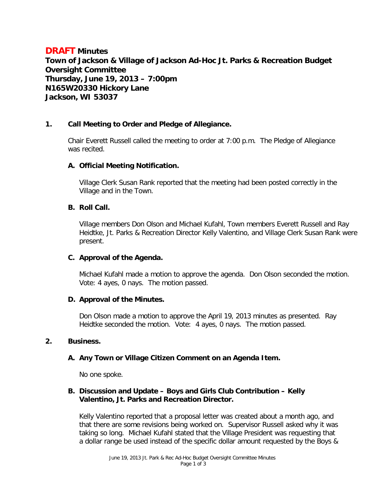# **DRAFT Minutes Town of Jackson & Village of Jackson Ad-Hoc Jt. Parks & Recreation Budget Oversight Committee Thursday, June 19, 2013 – 7:00pm N165W20330 Hickory Lane Jackson, WI 53037**

### **1. Call Meeting to Order and Pledge of Allegiance.**

Chair Everett Russell called the meeting to order at 7:00 p.m. The Pledge of Allegiance was recited.

#### **A. Official Meeting Notification.**

Village Clerk Susan Rank reported that the meeting had been posted correctly in the Village and in the Town.

#### **B. Roll Call.**

Village members Don Olson and Michael Kufahl, Town members Everett Russell and Ray Heidtke, Jt. Parks & Recreation Director Kelly Valentino, and Village Clerk Susan Rank were present.

#### **C. Approval of the Agenda.**

Michael Kufahl made a motion to approve the agenda. Don Olson seconded the motion. Vote: 4 ayes, 0 nays. The motion passed.

### **D. Approval of the Minutes.**

Don Olson made a motion to approve the April 19, 2013 minutes as presented. Ray Heidtke seconded the motion. Vote: 4 ayes, 0 nays. The motion passed.

#### **2. Business.**

### **A. Any Town or Village Citizen Comment on an Agenda Item.**

No one spoke.

### **B. Discussion and Update – Boys and Girls Club Contribution – Kelly Valentino, Jt. Parks and Recreation Director.**

Kelly Valentino reported that a proposal letter was created about a month ago, and that there are some revisions being worked on. Supervisor Russell asked why it was taking so long. Michael Kufahl stated that the Village President was requesting that a dollar range be used instead of the specific dollar amount requested by the Boys &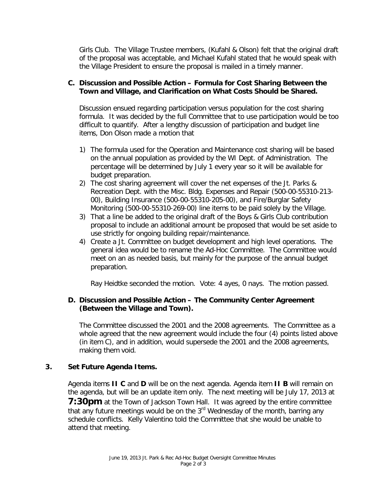Girls Club. The Village Trustee members, (Kufahl & Olson) felt that the original draft of the proposal was acceptable, and Michael Kufahl stated that he would speak with the Village President to ensure the proposal is mailed in a timely manner.

### **C. Discussion and Possible Action – Formula for Cost Sharing Between the Town and Village, and Clarification on What Costs Should be Shared.**

Discussion ensued regarding participation versus population for the cost sharing formula. It was decided by the full Committee that to use participation would be too difficult to quantify. After a lengthy discussion of participation and budget line items, Don Olson made a motion that

- 1) The formula used for the Operation and Maintenance cost sharing will be based on the annual population as provided by the WI Dept. of Administration. The percentage will be determined by July 1 every year so it will be available for budget preparation.
- 2) The cost sharing agreement will cover the net expenses of the Jt. Parks & Recreation Dept. with the Misc. Bldg. Expenses and Repair (500-00-55310-213- 00), Building Insurance (500-00-55310-205-00), and Fire/Burglar Safety Monitoring (500-00-55310-269-00) line items to be paid solely by the Village.
- 3) That a line be added to the original draft of the Boys & Girls Club contribution proposal to include an additional amount be proposed that would be set aside to use strictly for ongoing building repair/maintenance.
- 4) Create a Jt. Committee on budget development and high level operations. The general idea would be to rename the Ad-Hoc Committee. The Committee would meet on an as needed basis, but mainly for the purpose of the annual budget preparation.

Ray Heidtke seconded the motion. Vote: 4 ayes, 0 nays. The motion passed.

# **D. Discussion and Possible Action – The Community Center Agreement (Between the Village and Town).**

The Committee discussed the 2001 and the 2008 agreements. The Committee as a whole agreed that the new agreement would include the four (4) points listed above (in item C), and in addition, would supersede the 2001 and the 2008 agreements, making them void.

### **3. Set Future Agenda Items.**

Agenda items **II C** and **D** will be on the next agenda. Agenda item **II B** will remain on the agenda, but will be an update item only. The next meeting will be July 17, 2013 at **7:30pm** at the Town of Jackson Town Hall. It was agreed by the entire committee that any future meetings would be on the 3<sup>rd</sup> Wednesday of the month, barring any schedule conflicts. Kelly Valentino told the Committee that she would be unable to attend that meeting.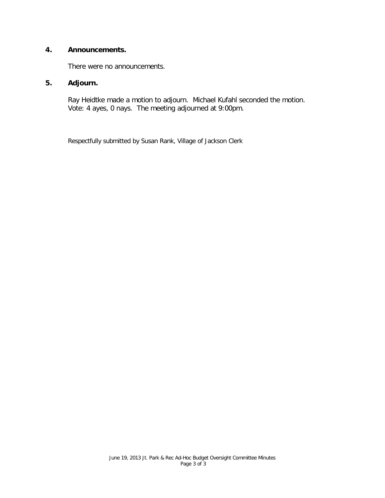# **4. Announcements.**

There were no announcements.

# **5. Adjourn.**

Ray Heidtke made a motion to adjourn. Michael Kufahl seconded the motion. Vote: 4 ayes, 0 nays. The meeting adjourned at 9:00pm.

Respectfully submitted by Susan Rank, Village of Jackson Clerk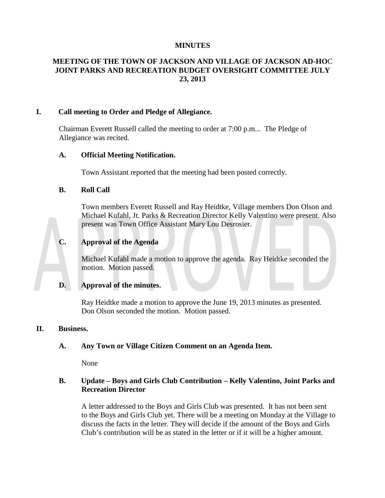# **MINUTES**

# **MEETING OF THE TOWN OF JACKSON AND VILLAGE OF JACKSON AD-HO**C **JOINT PARKS AND RECREATION BUDGET OVERSIGHT COMMITTEE JULY 23, 2013**

### **I. Call meeting to Order and Pledge of Allegiance.**

Chairman Everett Russell called the meeting to order at 7:00 p.m... The Pledge of Allegiance was recited.

### **A. Official Meeting Notification.**

Town Assistant reported that the meeting had been posted correctly.

### **B. Roll Call**

Town members Everett Russell and Ray Heidtke, Village members Don Olson and Michael Kufahl, Jt. Parks & Recreation Director Kelly Valentino were present. Also present was Town Office Assistant Mary Lou Desrosier.

# **C. Approval of the Agenda**

Michael Kufahl made a motion to approve the agenda. Ray Heidtke seconded the motion. Motion passed.

### **D. Approval of the minutes.**

Ray Heidtke made a motion to approve the June 19, 2013 minutes as presented. Don Olson seconded the motion. Motion passed.

### **II. Business.**

### **A. Any Town or Village Citizen Comment on an Agenda Item.**

None

# **B. Update – Boys and Girls Club Contribution – Kelly Valentino, Joint Parks and Recreation Director**

A letter addressed to the Boys and Girls Club was presented. It has not been sent to the Boys and Girls Club yet. There will be a meeting on Monday at the Village to discuss the facts in the letter. They will decide if the amount of the Boys and Girls Club's contribution will be as stated in the letter or if it will be a higher amount.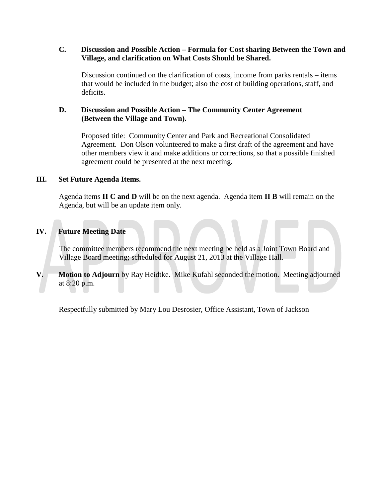### **C. Discussion and Possible Action – Formula for Cost sharing Between the Town and Village, and clarification on What Costs Should be Shared.**

Discussion continued on the clarification of costs, income from parks rentals – items that would be included in the budget; also the cost of building operations, staff, and deficits.

# **D. Discussion and Possible Action – The Community Center Agreement (Between the Village and Town).**

Proposed title: Community Center and Park and Recreational Consolidated Agreement. Don Olson volunteered to make a first draft of the agreement and have other members view it and make additions or corrections, so that a possible finished agreement could be presented at the next meeting.

# **III. Set Future Agenda Items.**

Agenda items **II C and D** will be on the next agenda. Agenda item **II B** will remain on the Agenda, but will be an update item only.

# **IV. Future Meeting Date**

The committee members recommend the next meeting be held as a Joint Town Board and Village Board meeting; scheduled for August 21, 2013 at the Village Hall.

**V. Motion to Adjourn** by Ray Heidtke. Mike Kufahl seconded the motion. Meeting adjourned at 8:20 p.m.

Respectfully submitted by Mary Lou Desrosier, Office Assistant, Town of Jackson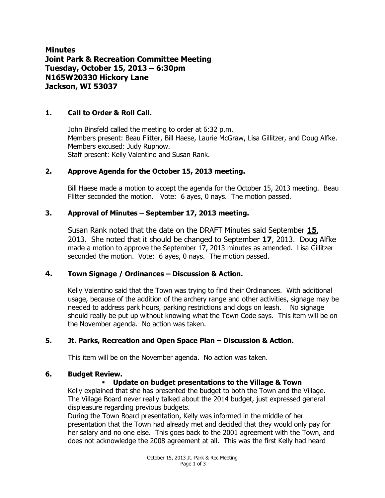**Minutes Joint Park & Recreation Committee Meeting Tuesday, October 15, 2013 – 6:30pm N165W20330 Hickory Lane Jackson, WI 53037**

# **1. Call to Order & Roll Call.**

John Binsfeld called the meeting to order at 6:32 p.m. Members present: Beau Flitter, Bill Haese, Laurie McGraw, Lisa Gillitzer, and Doug Alfke. Members excused: Judy Rupnow. Staff present: Kelly Valentino and Susan Rank.

# **2. Approve Agenda for the October 15, 2013 meeting.**

Bill Haese made a motion to accept the agenda for the October 15, 2013 meeting. Beau Flitter seconded the motion. Vote: 6 ayes, 0 nays. The motion passed.

# **3. Approval of Minutes – September 17, 2013 meeting.**

Susan Rank noted that the date on the DRAFT Minutes said September **15**, 2013. She noted that it should be changed to September **17**, 2013. Doug Alfke made a motion to approve the September 17, 2013 minutes as amended. Lisa Gillitzer seconded the motion. Vote: 6 ayes, 0 nays. The motion passed.

# **4. Town Signage / Ordinances – Discussion & Action.**

Kelly Valentino said that the Town was trying to find their Ordinances. With additional usage, because of the addition of the archery range and other activities, signage may be needed to address park hours, parking restrictions and dogs on leash. No signage should really be put up without knowing what the Town Code says. This item will be on the November agenda. No action was taken.

# **5. Jt. Parks, Recreation and Open Space Plan – Discussion & Action.**

This item will be on the November agenda. No action was taken.

### **6. Budget Review.**

### **Update on budget presentations to the Village & Town**

Kelly explained that she has presented the budget to both the Town and the Village. The Village Board never really talked about the 2014 budget, just expressed general displeasure regarding previous budgets.

During the Town Board presentation, Kelly was informed in the middle of her presentation that the Town had already met and decided that they would only pay for her salary and no one else. This goes back to the 2001 agreement with the Town, and does not acknowledge the 2008 agreement at all. This was the first Kelly had heard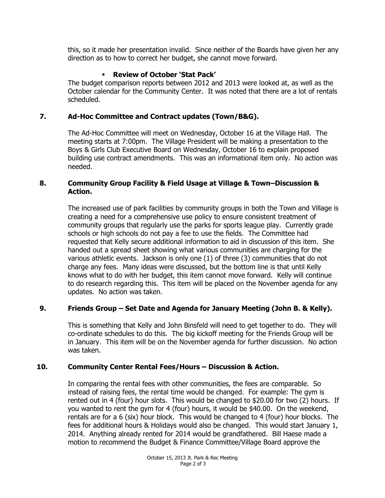this, so it made her presentation invalid. Since neither of the Boards have given her any direction as to how to correct her budget, she cannot move forward.

# **Review of October 'Stat Pack'**

The budget comparison reports between 2012 and 2013 were looked at, as well as the October calendar for the Community Center. It was noted that there are a lot of rentals scheduled.

# **7. Ad-Hoc Committee and Contract updates (Town/B&G).**

The Ad-Hoc Committee will meet on Wednesday, October 16 at the Village Hall. The meeting starts at 7:00pm. The Village President will be making a presentation to the Boys & Girls Club Executive Board on Wednesday, October 16 to explain proposed building use contract amendments. This was an informational item only. No action was needed.

# **8. Community Group Facility & Field Usage at Village & Town–Discussion & Action.**

The increased use of park facilities by community groups in both the Town and Village is creating a need for a comprehensive use policy to ensure consistent treatment of community groups that regularly use the parks for sports league play. Currently grade schools or high schools do not pay a fee to use the fields. The Committee had requested that Kelly secure additional information to aid in discussion of this item. She handed out a spread sheet showing what various communities are charging for the various athletic events. Jackson is only one (1) of three (3) communities that do not charge any fees. Many ideas were discussed, but the bottom line is that until Kelly knows what to do with her budget, this item cannot move forward. Kelly will continue to do research regarding this. This item will be placed on the November agenda for any updates. No action was taken.

# **9. Friends Group – Set Date and Agenda for January Meeting (John B. & Kelly).**

This is something that Kelly and John Binsfeld will need to get together to do. They will co-ordinate schedules to do this. The big kickoff meeting for the Friends Group will be in January. This item will be on the November agenda for further discussion. No action was taken.

# **10. Community Center Rental Fees/Hours – Discussion & Action.**

In comparing the rental fees with other communities, the fees are comparable. So instead of raising fees, the rental time would be changed. For example: The gym is rented out in 4 (four) hour slots. This would be changed to \$20.00 for two (2) hours. If you wanted to rent the gym for 4 (four) hours, it would be \$40.00. On the weekend, rentals are for a 6 (six) hour block. This would be changed to 4 (four) hour blocks. The fees for additional hours & Holidays would also be changed. This would start January 1, 2014. Anything already rented for 2014 would be grandfathered. Bill Haese made a motion to recommend the Budget & Finance Committee/Village Board approve the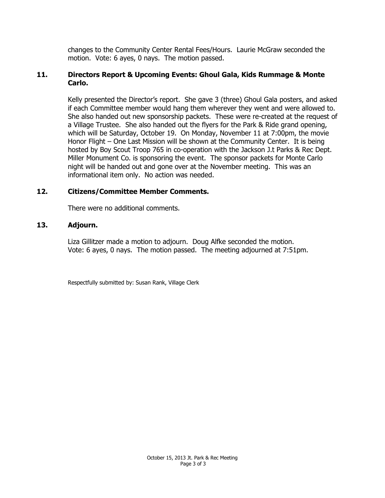changes to the Community Center Rental Fees/Hours. Laurie McGraw seconded the motion. Vote: 6 ayes, 0 nays. The motion passed.

### **11. Directors Report & Upcoming Events: Ghoul Gala, Kids Rummage & Monte Carlo.**

Kelly presented the Director's report. She gave 3 (three) Ghoul Gala posters, and asked if each Committee member would hang them wherever they went and were allowed to. She also handed out new sponsorship packets. These were re-created at the request of a Village Trustee. She also handed out the flyers for the Park & Ride grand opening, which will be Saturday, October 19. On Monday, November 11 at 7:00pm, the movie Honor Flight – One Last Mission will be shown at the Community Center. It is being hosted by Boy Scout Troop 765 in co-operation with the Jackson J.t Parks & Rec Dept. Miller Monument Co. is sponsoring the event. The sponsor packets for Monte Carlo night will be handed out and gone over at the November meeting. This was an informational item only. No action was needed.

### **12. Citizens/Committee Member Comments.**

There were no additional comments.

### **13. Adjourn.**

Liza Gillitzer made a motion to adjourn. Doug Alfke seconded the motion. Vote: 6 ayes, 0 nays. The motion passed. The meeting adjourned at 7:51pm.

Respectfully submitted by: Susan Rank, Village Clerk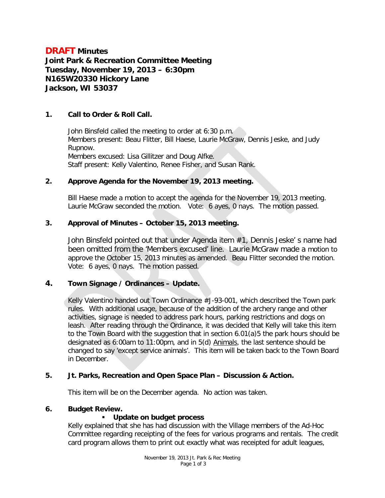# **DRAFT Minutes Joint Park & Recreation Committee Meeting Tuesday, November 19, 2013 – 6:30pm N165W20330 Hickory Lane Jackson, WI 53037**

# **1. Call to Order & Roll Call.**

John Binsfeld called the meeting to order at 6:30 p.m. Members present: Beau Flitter, Bill Haese, Laurie McGraw, Dennis Jeske, and Judy Rupnow. Members excused: Lisa Gillitzer and Doug Alfke. Staff present: Kelly Valentino, Renee Fisher, and Susan Rank.

### **2. Approve Agenda for the November 19, 2013 meeting.**

Bill Haese made a motion to accept the agenda for the November 19, 2013 meeting. Laurie McGraw seconded the motion. Vote: 6 ayes, 0 nays. The motion passed.

# **3. Approval of Minutes – October 15, 2013 meeting.**

John Binsfeld pointed out that under Agenda item #1, Dennis Jeske' s name had been omitted from the 'Members excused' line. Laurie McGraw made a motion to approve the October 15, 2013 minutes as amended. Beau Flitter seconded the motion. Vote: 6 ayes, 0 nays. The motion passed.

# **4. Town Signage / Ordinances – Update.**

Kelly Valentino handed out Town Ordinance #J-93-001, which described the Town park rules. With additional usage, because of the addition of the archery range and other activities, signage is needed to address park hours, parking restrictions and dogs on leash. After reading through the Ordinance, it was decided that Kelly will take this item to the Town Board with the suggestion that in section 6.01(a)5 the park hours should be designated as 6:00am to 11:00pm, and in 5(d) Animals, the last sentence should be changed to say 'except service animals'. This item will be taken back to the Town Board in December.

### **5. Jt. Parks, Recreation and Open Space Plan – Discussion & Action.**

This item will be on the December agenda. No action was taken.

### **6. Budget Review.**

# **Update on budget process**

Kelly explained that she has had discussion with the Village members of the Ad-Hoc Committee regarding receipting of the fees for various programs and rentals. The credit card program allows them to print out exactly what was receipted for adult leagues,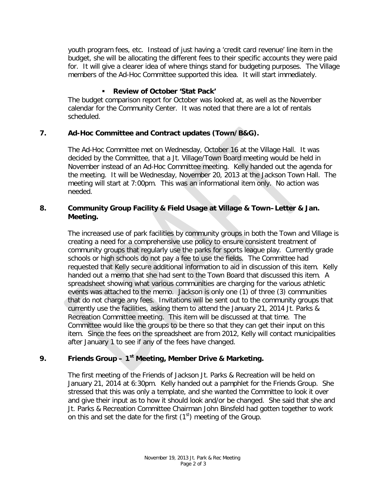youth program fees, etc. Instead of just having a 'credit card revenue' line item in the budget, she will be allocating the different fees to their specific accounts they were paid for. It will give a clearer idea of where things stand for budgeting purposes. The Village members of the Ad-Hoc Committee supported this idea. It will start immediately.

# **Review of October 'Stat Pack'**

The budget comparison report for October was looked at, as well as the November calendar for the Community Center. It was noted that there are a lot of rentals scheduled.

# **7. Ad-Hoc Committee and Contract updates (Town/B&G).**

The Ad-Hoc Committee met on Wednesday, October 16 at the Village Hall. It was decided by the Committee, that a Jt. Village/Town Board meeting would be held in November instead of an Ad-Hoc Committee meeting. Kelly handed out the agenda for the meeting. It will be Wednesday, November 20, 2013 at the Jackson Town Hall. The meeting will start at 7:00pm. This was an informational item only. No action was needed.

# **8. Community Group Facility & Field Usage at Village & Town–Letter & Jan. Meeting.**

The increased use of park facilities by community groups in both the Town and Village is creating a need for a comprehensive use policy to ensure consistent treatment of community groups that regularly use the parks for sports league play. Currently grade schools or high schools do not pay a fee to use the fields. The Committee had requested that Kelly secure additional information to aid in discussion of this item. Kelly handed out a memo that she had sent to the Town Board that discussed this item. A spreadsheet showing what various communities are charging for the various athletic events was attached to the memo. Jackson is only one (1) of three (3) communities that do not charge any fees. Invitations will be sent out to the community groups that currently use the facilities, asking them to attend the January 21, 2014 Jt. Parks & Recreation Committee meeting. This item will be discussed at that time. The Committee would like the groups to be there so that they can get their input on this item. Since the fees on the spreadsheet are from 2012, Kelly will contact municipalities after January 1 to see if any of the fees have changed.

# **9. Friends Group – 1st Meeting, Member Drive & Marketing.**

The first meeting of the Friends of Jackson Jt. Parks & Recreation will be held on January 21, 2014 at 6:30pm. Kelly handed out a pamphlet for the Friends Group. She stressed that this was only a template, and she wanted the Committee to look it over and give their input as to how it should look and/or be changed. She said that she and Jt. Parks & Recreation Committee Chairman John Binsfeld had gotten together to work on this and set the date for the first  $(1<sup>st</sup>)$  meeting of the Group.